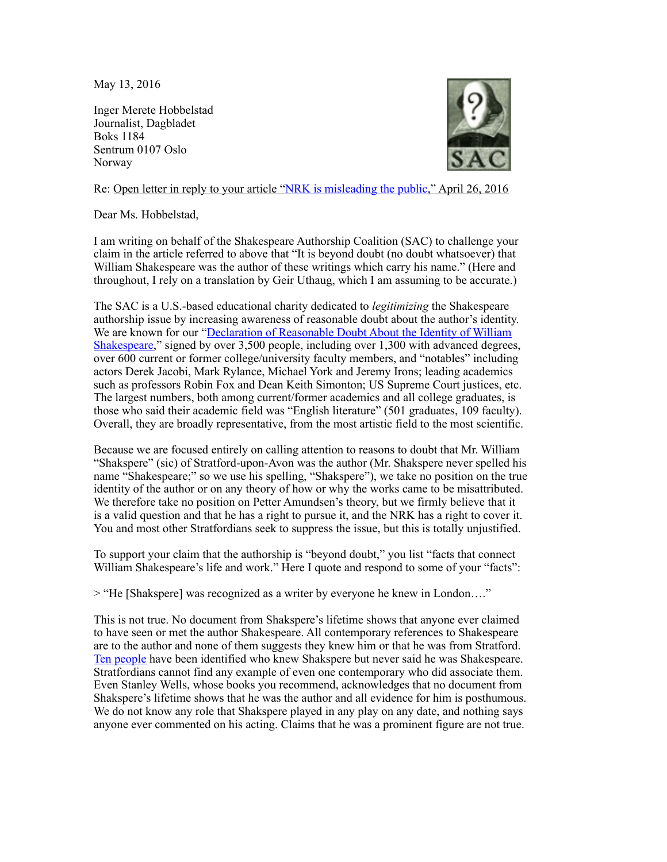May 13, 2016

Inger Merete Hobbelstad Journalist, Dagbladet Boks 1184 Sentrum 0107 Oslo Norway



Re: Open letter in reply to your article "[NRK is misleading the public,](http://www.dagbladet.no/2016/04/26/kultur/meninger/litteratur/william_shakespeare/44016360/)" April 26, 2016

Dear Ms. Hobbelstad,

I am writing on behalf of the Shakespeare Authorship Coalition (SAC) to challenge your claim in the article referred to above that "It is beyond doubt (no doubt whatsoever) that William Shakespeare was the author of these writings which carry his name." (Here and throughout, I rely on a translation by Geir Uthaug, which I am assuming to be accurate.)

The SAC is a U.S.-based educational charity dedicated to *legitimizing* the Shakespeare authorship issue by increasing awareness of reasonable doubt about the author's identity. We are known for our "Declaration of Reasonable Doubt About the Identity of William [Shakespeare," signed by over 3,500 people, including over 1,300 with advanced degrees,](https://doubtaboutwill.org/declaration) over 600 current or former college/university faculty members, and "notables" including actors Derek Jacobi, Mark Rylance, Michael York and Jeremy Irons; leading academics such as professors Robin Fox and Dean Keith Simonton; US Supreme Court justices, etc. The largest numbers, both among current/former academics and all college graduates, is those who said their academic field was "English literature" (501 graduates, 109 faculty). Overall, they are broadly representative, from the most artistic field to the most scientific.

Because we are focused entirely on calling attention to reasons to doubt that Mr. William "Shakspere" (sic) of Stratford-upon-Avon was the author (Mr. Shakspere never spelled his name "Shakespeare;" so we use his spelling, "Shakspere"), we take no position on the true identity of the author or on any theory of how or why the works came to be misattributed. We therefore take no position on Petter Amundsen's theory, but we firmly believe that it is a valid question and that he has a right to pursue it, and the NRK has a right to cover it. You and most other Stratfordians seek to suppress the issue, but this is totally unjustified.

To support your claim that the authorship is "beyond doubt," you list "facts that connect William Shakespeare's life and work." Here I quote and respond to some of your "facts":

> "He [Shakspere] was recognized as a writer by everyone he knew in London…."

This is not true. No document from Shakspere's lifetime shows that anyone ever claimed to have seen or met the author Shakespeare. All contemporary references to Shakespeare are to the author and none of them suggests they knew him or that he was from Stratford. [Ten people](http://shakespeareoxfordfellowship.org/ten-eyewitnesses/) have been identified who knew Shakspere but never said he was Shakespeare. Stratfordians cannot find any example of even one contemporary who did associate them. Even Stanley Wells, whose books you recommend, acknowledges that no document from Shakspere's lifetime shows that he was the author and all evidence for him is posthumous. We do not know any role that Shakspere played in any play on any date, and nothing says anyone ever commented on his acting. Claims that he was a prominent figure are not true.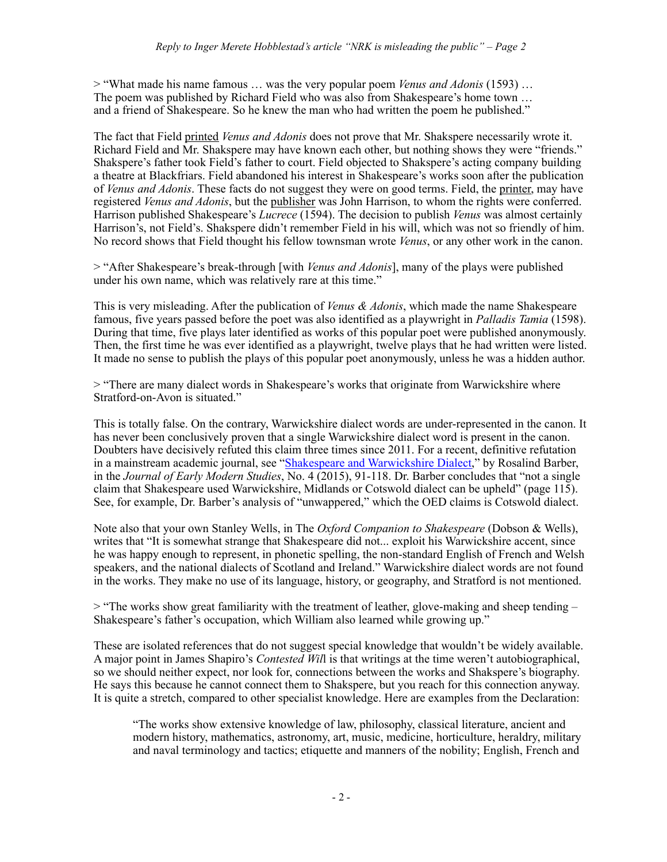> "What made his name famous … was the very popular poem *Venus and Adonis* (1593) … The poem was published by Richard Field who was also from Shakespeare's home town … and a friend of Shakespeare. So he knew the man who had written the poem he published."

The fact that Field printed *Venus and Adonis* does not prove that Mr. Shakspere necessarily wrote it. Richard Field and Mr. Shakspere may have known each other, but nothing shows they were "friends." Shakspere's father took Field's father to court. Field objected to Shakspere's acting company building a theatre at Blackfriars. Field abandoned his interest in Shakespeare's works soon after the publication of *Venus and Adonis*. These facts do not suggest they were on good terms. Field, the printer, may have registered *Venus and Adonis*, but the publisher was John Harrison, to whom the rights were conferred. Harrison published Shakespeare's *Lucrece* (1594). The decision to publish *Venus* was almost certainly Harrison's, not Field's. Shakspere didn't remember Field in his will, which was not so friendly of him. No record shows that Field thought his fellow townsman wrote *Venus*, or any other work in the canon.

> "After Shakespeare's break-through [with *Venus and Adonis*], many of the plays were published under his own name, which was relatively rare at this time."

This is very misleading. After the publication of *Venus & Adonis*, which made the name Shakespeare famous, five years passed before the poet was also identified as a playwright in *Palladis Tamia* (1598). During that time, five plays later identified as works of this popular poet were published anonymously. Then, the first time he was ever identified as a playwright, twelve plays that he had written were listed. It made no sense to publish the plays of this popular poet anonymously, unless he was a hidden author.

> "There are many dialect words in Shakespeare's works that originate from Warwickshire where Stratford-on-Avon is situated."

This is totally false. On the contrary, Warwickshire dialect words are under-represented in the canon. It has never been conclusively proven that a single Warwickshire dialect word is present in the canon. Doubters have decisively refuted this claim three times since 2011. For a recent, definitive refutation in a mainstream academic journal, see "[Shakespeare and Warwickshire Dialect,](http://www.fupress.net/index.php/bsfm-jems/article/view/18084)" by Rosalind Barber, in the *Journal of Early Modern Studies*, No. 4 (2015), 91-118. Dr. Barber concludes that "not a single claim that Shakespeare used Warwickshire, Midlands or Cotswold dialect can be upheld" (page 115). See, for example, Dr. Barber's analysis of "unwappered," which the OED claims is Cotswold dialect.

Note also that your own Stanley Wells, in The *Oxford Companion to Shakespeare* (Dobson & Wells), writes that "It is somewhat strange that Shakespeare did not... exploit his Warwickshire accent, since he was happy enough to represent, in phonetic spelling, the non-standard English of French and Welsh speakers, and the national dialects of Scotland and Ireland." Warwickshire dialect words are not found in the works. They make no use of its language, history, or geography, and Stratford is not mentioned.

 $>$  "The works show great familiarity with the treatment of leather, glove-making and sheep tending – Shakespeare's father's occupation, which William also learned while growing up."

These are isolated references that do not suggest special knowledge that wouldn't be widely available. A major point in James Shapiro's *Contested Wil*l is that writings at the time weren't autobiographical, so we should neither expect, nor look for, connections between the works and Shakspere's biography. He says this because he cannot connect them to Shakspere, but you reach for this connection anyway. It is quite a stretch, compared to other specialist knowledge. Here are examples from the Declaration:

"The works show extensive knowledge of law, philosophy, classical literature, ancient and modern history, mathematics, astronomy, art, music, medicine, horticulture, heraldry, military and naval terminology and tactics; etiquette and manners of the nobility; English, French and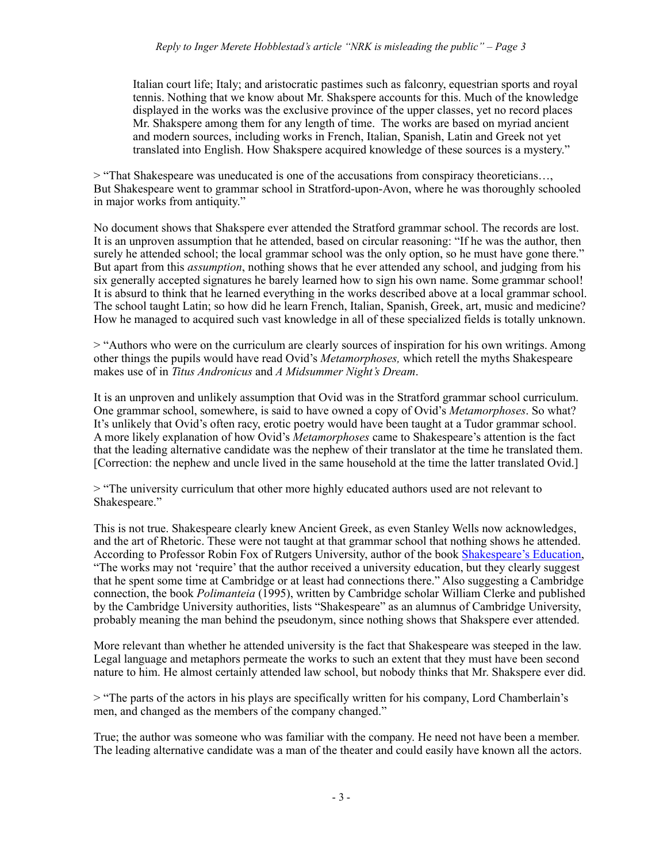Italian court life; Italy; and aristocratic pastimes such as falconry, equestrian sports and royal tennis. Nothing that we know about Mr. Shakspere accounts for this. Much of the knowledge displayed in the works was the exclusive province of the upper classes, yet no record places Mr. Shakspere among them for any length of time. The works are based on myriad ancient and modern sources, including works in French, Italian, Spanish, Latin and Greek not yet translated into English. How Shakspere acquired knowledge of these sources is a mystery."

> "That Shakespeare was uneducated is one of the accusations from conspiracy theoreticians…, But Shakespeare went to grammar school in Stratford-upon-Avon, where he was thoroughly schooled in major works from antiquity."

No document shows that Shakspere ever attended the Stratford grammar school. The records are lost. It is an unproven assumption that he attended, based on circular reasoning: "If he was the author, then surely he attended school; the local grammar school was the only option, so he must have gone there." But apart from this *assumption*, nothing shows that he ever attended any school, and judging from his six generally accepted signatures he barely learned how to sign his own name. Some grammar school! It is absurd to think that he learned everything in the works described above at a local grammar school. The school taught Latin; so how did he learn French, Italian, Spanish, Greek, art, music and medicine? How he managed to acquired such vast knowledge in all of these specialized fields is totally unknown.

> "Authors who were on the curriculum are clearly sources of inspiration for his own writings. Among other things the pupils would have read Ovid's *Metamorphoses,* which retell the myths Shakespeare makes use of in *Titus Andronicus* and *A Midsummer Night's Dream*.

It is an unproven and unlikely assumption that Ovid was in the Stratford grammar school curriculum. One grammar school, somewhere, is said to have owned a copy of Ovid's *Metamorphoses*. So what? It's unlikely that Ovid's often racy, erotic poetry would have been taught at a Tudor grammar school. A more likely explanation of how Ovid's *Metamorphoses* came to Shakespeare's attention is the fact that the leading alternative candidate was the nephew of their translator at the time he translated them. [Correction: the nephew and uncle lived in the same household at the time the latter translated Ovid.]

> "The university curriculum that other more highly educated authors used are not relevant to Shakespeare."

This is not true. Shakespeare clearly knew Ancient Greek, as even Stanley Wells now acknowledges, and the art of Rhetoric. These were not taught at that grammar school that nothing shows he attended. According to Professor Robin Fox of Rutgers University, author of the book [Shakespeare's Education,](http://www.amazon.com/shakespeares-education-schools-lawsuits-theater/dp/3933077303) "The works may not 'require' that the author received a university education, but they clearly suggest that he spent some time at Cambridge or at least had connections there." Also suggesting a Cambridge connection, the book *Polimanteia* (1995), written by Cambridge scholar William Clerke and published by the Cambridge University authorities, lists "Shakespeare" as an alumnus of Cambridge University, probably meaning the man behind the pseudonym, since nothing shows that Shakspere ever attended.

More relevant than whether he attended university is the fact that Shakespeare was steeped in the law. Legal language and metaphors permeate the works to such an extent that they must have been second nature to him. He almost certainly attended law school, but nobody thinks that Mr. Shakspere ever did.

> "The parts of the actors in his plays are specifically written for his company, Lord Chamberlain's men, and changed as the members of the company changed."

True; the author was someone who was familiar with the company. He need not have been a member. The leading alternative candidate was a man of the theater and could easily have known all the actors.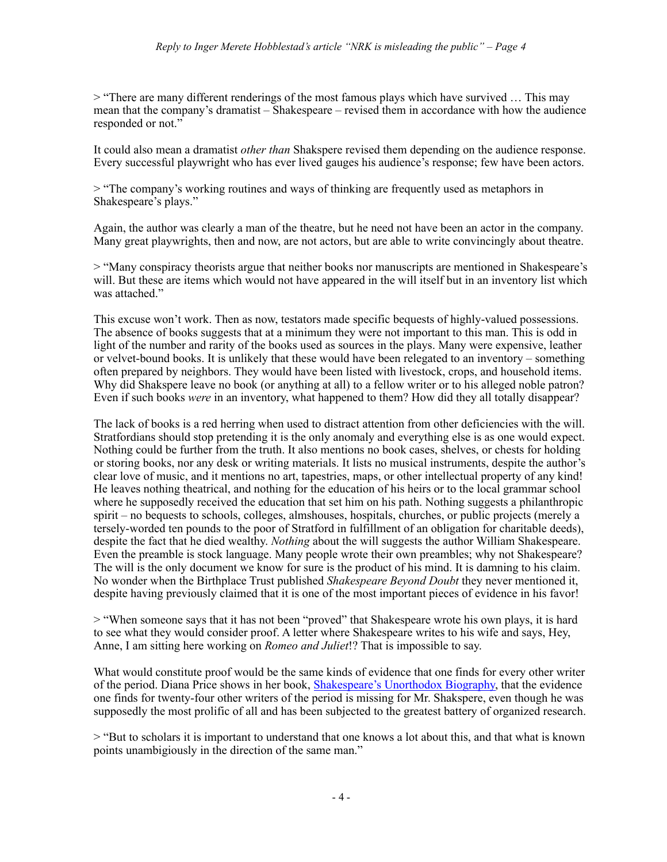> "There are many different renderings of the most famous plays which have survived … This may mean that the company's dramatist – Shakespeare – revised them in accordance with how the audience responded or not."

It could also mean a dramatist *other than* Shakspere revised them depending on the audience response. Every successful playwright who has ever lived gauges his audience's response; few have been actors.

> "The company's working routines and ways of thinking are frequently used as metaphors in Shakespeare's plays."

Again, the author was clearly a man of the theatre, but he need not have been an actor in the company. Many great playwrights, then and now, are not actors, but are able to write convincingly about theatre.

> "Many conspiracy theorists argue that neither books nor manuscripts are mentioned in Shakespeare's will. But these are items which would not have appeared in the will itself but in an inventory list which was attached."

This excuse won't work. Then as now, testators made specific bequests of highly-valued possessions. The absence of books suggests that at a minimum they were not important to this man. This is odd in light of the number and rarity of the books used as sources in the plays. Many were expensive, leather or velvet-bound books. It is unlikely that these would have been relegated to an inventory – something often prepared by neighbors. They would have been listed with livestock, crops, and household items. Why did Shakspere leave no book (or anything at all) to a fellow writer or to his alleged noble patron? Even if such books *were* in an inventory, what happened to them? How did they all totally disappear?

The lack of books is a red herring when used to distract attention from other deficiencies with the will. Stratfordians should stop pretending it is the only anomaly and everything else is as one would expect. Nothing could be further from the truth. It also mentions no book cases, shelves, or chests for holding or storing books, nor any desk or writing materials. It lists no musical instruments, despite the author's clear love of music, and it mentions no art, tapestries, maps, or other intellectual property of any kind! He leaves nothing theatrical, and nothing for the education of his heirs or to the local grammar school where he supposedly received the education that set him on his path. Nothing suggests a philanthropic spirit – no bequests to schools, colleges, almshouses, hospitals, churches, or public projects (merely a tersely-worded ten pounds to the poor of Stratford in fulfillment of an obligation for charitable deeds), despite the fact that he died wealthy. *Nothing* about the will suggests the author William Shakespeare. Even the preamble is stock language. Many people wrote their own preambles; why not Shakespeare? The will is the only document we know for sure is the product of his mind. It is damning to his claim. No wonder when the Birthplace Trust published *Shakespeare Beyond Doubt* they never mentioned it, despite having previously claimed that it is one of the most important pieces of evidence in his favor!

> "When someone says that it has not been "proved" that Shakespeare wrote his own plays, it is hard to see what they would consider proof. A letter where Shakespeare writes to his wife and says, Hey, Anne, I am sitting here working on *Romeo and Juliet*!? That is impossible to say.

What would constitute proof would be the same kinds of evidence that one finds for every other writer of the period. Diana Price shows in her book, [Shakespeare's Unorthodox Biography,](http://shakespeare-authorship.com/) that the evidence one finds for twenty-four other writers of the period is missing for Mr. Shakspere, even though he was supposedly the most prolific of all and has been subjected to the greatest battery of organized research.

> "But to scholars it is important to understand that one knows a lot about this, and that what is known points unambigiously in the direction of the same man."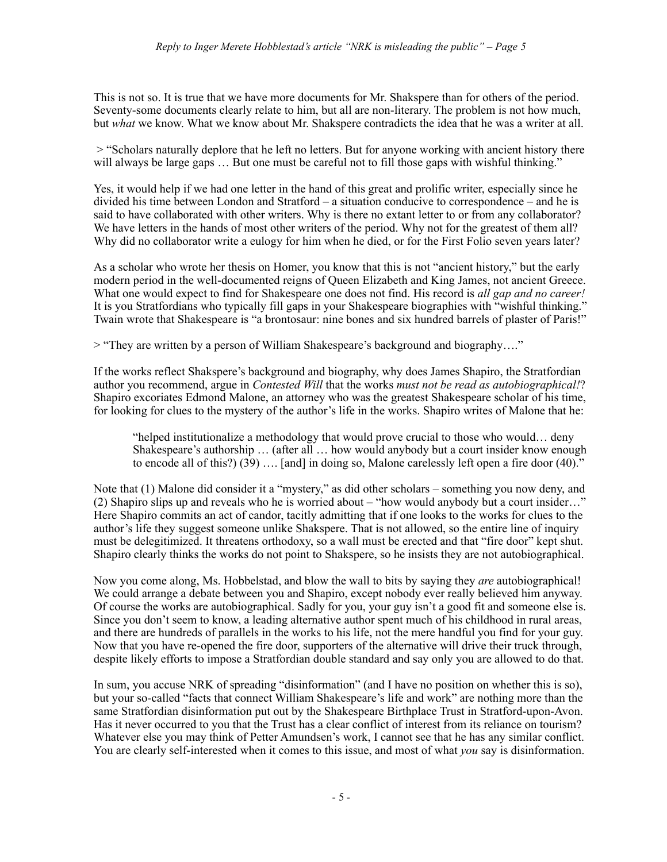This is not so. It is true that we have more documents for Mr. Shakspere than for others of the period. Seventy-some documents clearly relate to him, but all are non-literary. The problem is not how much, but *what* we know. What we know about Mr. Shakspere contradicts the idea that he was a writer at all.

 > "Scholars naturally deplore that he left no letters. But for anyone working with ancient history there will always be large gaps ... But one must be careful not to fill those gaps with wishful thinking."

Yes, it would help if we had one letter in the hand of this great and prolific writer, especially since he divided his time between London and Stratford – a situation conducive to correspondence – and he is said to have collaborated with other writers. Why is there no extant letter to or from any collaborator? We have letters in the hands of most other writers of the period. Why not for the greatest of them all? Why did no collaborator write a eulogy for him when he died, or for the First Folio seven years later?

As a scholar who wrote her thesis on Homer, you know that this is not "ancient history," but the early modern period in the well-documented reigns of Queen Elizabeth and King James, not ancient Greece. What one would expect to find for Shakespeare one does not find. His record is *all gap and no career!*  It is you Stratfordians who typically fill gaps in your Shakespeare biographies with "wishful thinking." Twain wrote that Shakespeare is "a brontosaur: nine bones and six hundred barrels of plaster of Paris!"

> "They are written by a person of William Shakespeare's background and biography…."

If the works reflect Shakspere's background and biography, why does James Shapiro, the Stratfordian author you recommend, argue in *Contested Will* that the works *must not be read as autobiographical!*? Shapiro excoriates Edmond Malone, an attorney who was the greatest Shakespeare scholar of his time, for looking for clues to the mystery of the author's life in the works. Shapiro writes of Malone that he:

"helped institutionalize a methodology that would prove crucial to those who would… deny Shakespeare's authorship … (after all … how would anybody but a court insider know enough to encode all of this?) (39) …. [and] in doing so, Malone carelessly left open a fire door (40)."

Note that (1) Malone did consider it a "mystery," as did other scholars – something you now deny, and (2) Shapiro slips up and reveals who he is worried about – "how would anybody but a court insider…" Here Shapiro commits an act of candor, tacitly admitting that if one looks to the works for clues to the author's life they suggest someone unlike Shakspere. That is not allowed, so the entire line of inquiry must be delegitimized. It threatens orthodoxy, so a wall must be erected and that "fire door" kept shut. Shapiro clearly thinks the works do not point to Shakspere, so he insists they are not autobiographical.

Now you come along, Ms. Hobbelstad, and blow the wall to bits by saying they *are* autobiographical! We could arrange a debate between you and Shapiro, except nobody ever really believed him anyway. Of course the works are autobiographical. Sadly for you, your guy isn't a good fit and someone else is. Since you don't seem to know, a leading alternative author spent much of his childhood in rural areas, and there are hundreds of parallels in the works to his life, not the mere handful you find for your guy. Now that you have re-opened the fire door, supporters of the alternative will drive their truck through, despite likely efforts to impose a Stratfordian double standard and say only you are allowed to do that.

In sum, you accuse NRK of spreading "disinformation" (and I have no position on whether this is so), but your so-called "facts that connect William Shakespeare's life and work" are nothing more than the same Stratfordian disinformation put out by the Shakespeare Birthplace Trust in Stratford-upon-Avon. Has it never occurred to you that the Trust has a clear conflict of interest from its reliance on tourism? Whatever else you may think of Petter Amundsen's work, I cannot see that he has any similar conflict. You are clearly self-interested when it comes to this issue, and most of what *you* say is disinformation.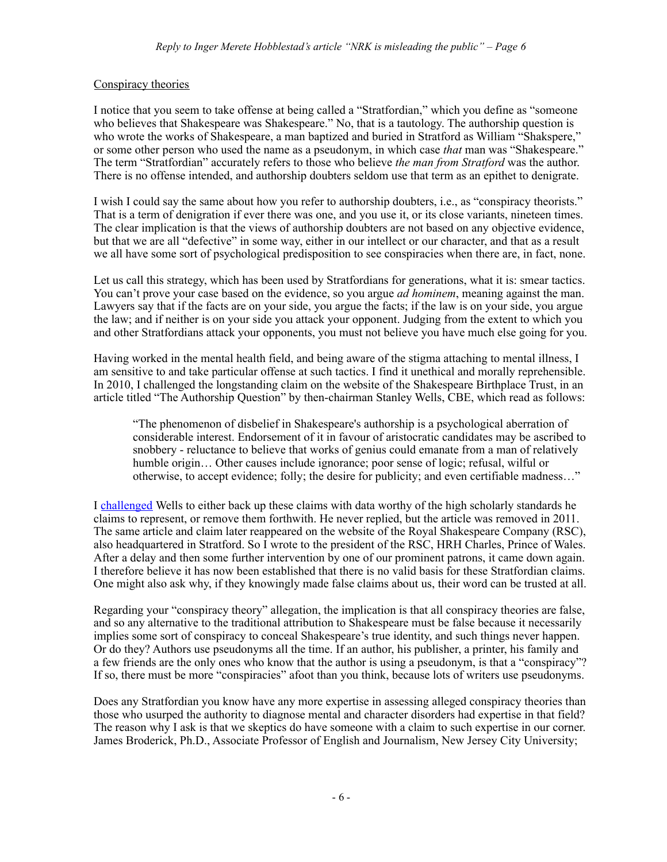## Conspiracy theories

I notice that you seem to take offense at being called a "Stratfordian," which you define as "someone who believes that Shakespeare was Shakespeare." No, that is a tautology. The authorship question is who wrote the works of Shakespeare, a man baptized and buried in Stratford as William "Shakspere," or some other person who used the name as a pseudonym, in which case *that* man was "Shakespeare." The term "Stratfordian" accurately refers to those who believe *the man from Stratford* was the author. There is no offense intended, and authorship doubters seldom use that term as an epithet to denigrate.

I wish I could say the same about how you refer to authorship doubters, i.e., as "conspiracy theorists." That is a term of denigration if ever there was one, and you use it, or its close variants, nineteen times. The clear implication is that the views of authorship doubters are not based on any objective evidence, but that we are all "defective" in some way, either in our intellect or our character, and that as a result we all have some sort of psychological predisposition to see conspiracies when there are, in fact, none.

Let us call this strategy, which has been used by Stratfordians for generations, what it is: smear tactics. You can't prove your case based on the evidence, so you argue *ad hominem*, meaning against the man. Lawyers say that if the facts are on your side, you argue the facts; if the law is on your side, you argue the law; and if neither is on your side you attack your opponent. Judging from the extent to which you and other Stratfordians attack your opponents, you must not believe you have much else going for you.

Having worked in the mental health field, and being aware of the stigma attaching to mental illness, I am sensitive to and take particular offense at such tactics. I find it unethical and morally reprehensible. In 2010, I challenged the longstanding claim on the website of the Shakespeare Birthplace Trust, in an article titled "The Authorship Question" by then-chairman Stanley Wells, CBE, which read as follows:

"The phenomenon of disbelief in Shakespeare's authorship is a psychological aberration of considerable interest. Endorsement of it in favour of aristocratic candidates may be ascribed to snobbery - reluctance to believe that works of genius could emanate from a man of relatively humble origin... Other causes include ignorance; poor sense of logic; refusal, wilful or otherwise, to accept evidence; folly; the desire for publicity; and even certifiable madness…"

I [challenged](https://doubtaboutwill.org/letters_to_sbt_and_rsc) Wells to either back up these claims with data worthy of the high scholarly standards he claims to represent, or remove them forthwith. He never replied, but the article was removed in 2011. The same article and claim later reappeared on the website of the Royal Shakespeare Company (RSC), also headquartered in Stratford. So I wrote to the president of the RSC, HRH Charles, Prince of Wales. After a delay and then some further intervention by one of our prominent patrons, it came down again. I therefore believe it has now been established that there is no valid basis for these Stratfordian claims. One might also ask why, if they knowingly made false claims about us, their word can be trusted at all.

Regarding your "conspiracy theory" allegation, the implication is that all conspiracy theories are false, and so any alternative to the traditional attribution to Shakespeare must be false because it necessarily implies some sort of conspiracy to conceal Shakespeare's true identity, and such things never happen. Or do they? Authors use pseudonyms all the time. If an author, his publisher, a printer, his family and a few friends are the only ones who know that the author is using a pseudonym, is that a "conspiracy"? If so, there must be more "conspiracies" afoot than you think, because lots of writers use pseudonyms.

Does any Stratfordian you know have any more expertise in assessing alleged conspiracy theories than those who usurped the authority to diagnose mental and character disorders had expertise in that field? The reason why I ask is that we skeptics do have someone with a claim to such expertise in our corner. James Broderick, Ph.D., Associate Professor of English and Journalism, New Jersey City University;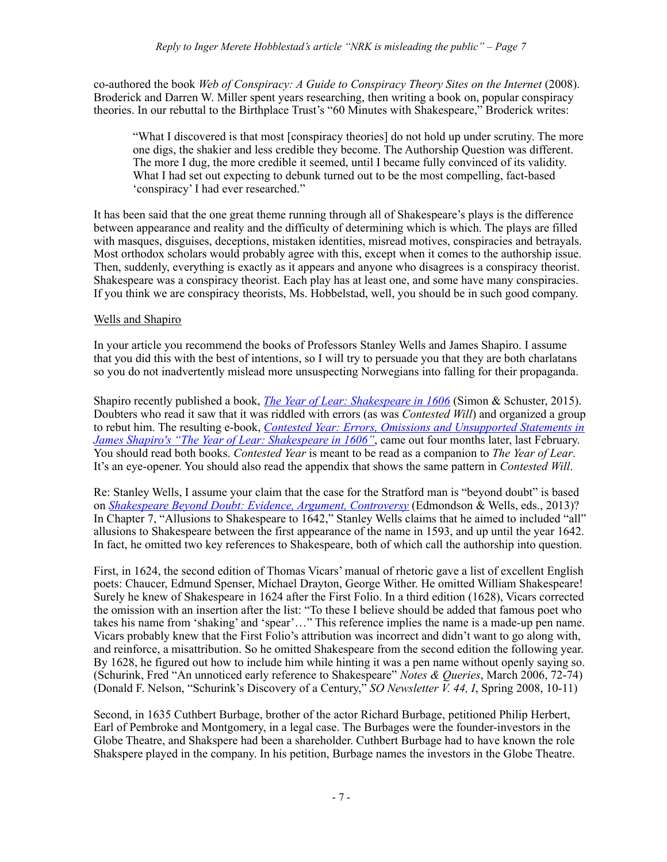co-authored the book *Web of Conspiracy: A Guide to Conspiracy Theory Sites on the Internet* (2008). Broderick and Darren W. Miller spent years researching, then writing a book on, popular conspiracy theories. In our rebuttal to the Birthplace Trust's "60 Minutes with Shakespeare," Broderick writes:

"What I discovered is that most [conspiracy theories] do not hold up under scrutiny. The more one digs, the shakier and less credible they become. The Authorship Question was different. The more I dug, the more credible it seemed, until I became fully convinced of its validity. What I had set out expecting to debunk turned out to be the most compelling, fact-based 'conspiracy' I had ever researched."

It has been said that the one great theme running through all of Shakespeare's plays is the difference between appearance and reality and the difficulty of determining which is which. The plays are filled with masques, disguises, deceptions, mistaken identities, misread motives, conspiracies and betrayals. Most orthodox scholars would probably agree with this, except when it comes to the authorship issue. Then, suddenly, everything is exactly as it appears and anyone who disagrees is a conspiracy theorist. Shakespeare was a conspiracy theorist. Each play has at least one, and some have many conspiracies. If you think we are conspiracy theorists, Ms. Hobbelstad, well, you should be in such good company.

## Wells and Shapiro

In your article you recommend the books of Professors Stanley Wells and James Shapiro. I assume that you did this with the best of intentions, so I will try to persuade you that they are both charlatans so you do not inadvertently mislead more unsuspecting Norwegians into falling for their propaganda.

Shapiro recently published a book, *[The Year of Lear: Shakespeare in 1606](http://www.amazon.com/Year-Lear-Shakespeare-1606/dp/1416541640/ref=sr_1_1?ie=UTF8&qid=1462833783&sr=8-1&keywords=the+year+of+lear)* (Simon & Schuster, 2015). Doubters who read it saw that it was riddled with errors (as was *Contested Will*) and organized a group to rebut him. The resulting e-book, *[Contested Year: Errors, Omissions and Unsupported Statements in](https://www.amazon.com/Contested-Year-Unsupported-Statements-Shakespeare-ebook/dp/B01BGAMI9S?ie=UTF8&keywords=the%2520year%2520of%2520lear&qid=1462833783&ref_=sr_1_2&sr=8-2)  James Shapiro's "The Year of Lear: Shakespeare in 1606"*, came out four months later, last February. You should read both books. *Contested Year* is meant to be read as a companion to *The Year of Lear*. It's an eye-opener. You should also read the appendix that shows the same pattern in *Contested Will*.

Re: Stanley Wells, I assume your claim that the case for the Stratford man is "beyond doubt" is based on *[Shakespeare Beyond Doubt: Evidence, Argument, Controversy](http://www.cambridge.org/us/knowledge/isbn/item7099141/?site_locale=en_US)* (Edmondson & Wells, eds., 2013)? In Chapter 7, "Allusions to Shakespeare to 1642," Stanley Wells claims that he aimed to included "all" allusions to Shakespeare between the first appearance of the name in 1593, and up until the year 1642. In fact, he omitted two key references to Shakespeare, both of which call the authorship into question.

First, in 1624, the second edition of Thomas Vicars' manual of rhetoric gave a list of excellent English poets: Chaucer, Edmund Spenser, Michael Drayton, George Wither. He omitted William Shakespeare! Surely he knew of Shakespeare in 1624 after the First Folio. In a third edition (1628), Vicars corrected the omission with an insertion after the list: "To these I believe should be added that famous poet who takes his name from 'shaking' and 'spear'…" This reference implies the name is a made-up pen name. Vicars probably knew that the First Folio's attribution was incorrect and didn't want to go along with, and reinforce, a misattribution. So he omitted Shakespeare from the second edition the following year. By 1628, he figured out how to include him while hinting it was a pen name without openly saying so. (Schurink, Fred "An unnoticed early reference to Shakespeare" *Notes & Queries*, March 2006, 72-74) (Donald F. Nelson, "Schurink's Discovery of a Century," *[SO Newsletter V. 44, I](http://shakespeareoxfordfellowship.org/wp-content/uploads/2014/03/SOSNL_2008_2.pdf)*, Spring 2008, 10-11)

Second, in 1635 Cuthbert Burbage, brother of the actor Richard Burbage, petitioned Philip Herbert, Earl of Pembroke and Montgomery, in a legal case. The Burbages were the founder-investors in the Globe Theatre, and Shakspere had been a shareholder. Cuthbert Burbage had to have known the role Shakspere played in the company. In his petition, Burbage names the investors in the Globe Theatre.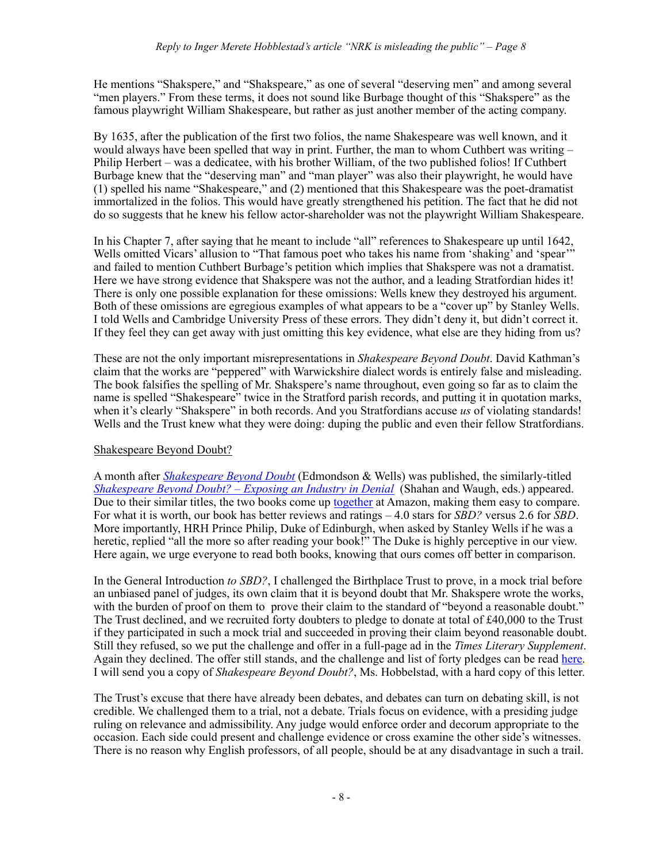He mentions "Shakspere," and "Shakspeare," as one of several "deserving men" and among several "men players." From these terms, it does not sound like Burbage thought of this "Shakspere" as the famous playwright William Shakespeare, but rather as just another member of the acting company.

By 1635, after the publication of the first two folios, the name Shakespeare was well known, and it would always have been spelled that way in print. Further, the man to whom Cuthbert was writing – Philip Herbert – was a dedicatee, with his brother William, of the two published folios! If Cuthbert Burbage knew that the "deserving man" and "man player" was also their playwright, he would have (1) spelled his name "Shakespeare," and (2) mentioned that this Shakespeare was the poet-dramatist immortalized in the folios. This would have greatly strengthened his petition. The fact that he did not do so suggests that he knew his fellow actor-shareholder was not the playwright William Shakespeare.

In his Chapter 7, after saying that he meant to include "all" references to Shakespeare up until 1642, Wells omitted Vicars' allusion to "That famous poet who takes his name from 'shaking' and 'spear'" and failed to mention Cuthbert Burbage's petition which implies that Shakspere was not a dramatist. Here we have strong evidence that Shakspere was not the author, and a leading Stratfordian hides it! There is only one possible explanation for these omissions: Wells knew they destroyed his argument. Both of these omissions are egregious examples of what appears to be a "cover up" by Stanley Wells. I told Wells and Cambridge University Press of these errors. They didn't deny it, but didn't correct it. If they feel they can get away with just omitting this key evidence, what else are they hiding from us?

These are not the only important misrepresentations in *Shakespeare Beyond Doubt*. David Kathman's claim that the works are "peppered" with Warwickshire dialect words is entirely false and misleading. The book falsifies the spelling of Mr. Shakspere's name throughout, even going so far as to claim the name is spelled "Shakespeare" twice in the Stratford parish records, and putting it in quotation marks, when it's clearly "Shakspere" in both records. And you Stratfordians accuse *us* of violating standards! Wells and the Trust knew what they were doing: duping the public and even their fellow Stratfordians.

## Shakespeare Beyond Doubt?

A month after *[Shakespeare Beyond Doubt](http://www.cambridge.org/us/knowledge/isbn/item7099141/?site_locale=en_US)* (Edmondson & Wells) was published, the similarly-titled *[Shakespeare Beyond Doubt? – Exposing an Industry in Denial](http://www.amazon.com/Shakespeare-Beyond-Exposing-Industry-Denial/dp/1625500335/ref=sr_1_1?s=books&ie=UTF8&qid=1462852503&sr=1-1&keywords=shakespeare+beyond+doubt)* (Shahan and Waugh, eds.) appeared. Due to their similar titles, the two books come up [together](http://www.amazon.com/s/ref=nb_sb_noss_1/190-7730806-4326226?url=search-alias%253Dstripbooks&field-keywords=shakespeare+beyond+doubt) at Amazon, making them easy to compare. For what it is worth, our book has better reviews and ratings – 4.0 stars for *SBD?* versus 2.6 for *SBD*. More importantly, HRH Prince Philip, Duke of Edinburgh, when asked by Stanley Wells if he was a heretic, replied "all the more so after reading your book!" The Duke is highly perceptive in our view. Here again, we urge everyone to read both books, knowing that ours comes off better in comparison.

In the General Introduction *to SBD?*, I challenged the Birthplace Trust to prove, in a mock trial before an unbiased panel of judges, its own claim that it is beyond doubt that Mr. Shakspere wrote the works, with the burden of proof on them to prove their claim to the standard of "beyond a reasonable doubt." The Trust declined, and we recruited forty doubters to pledge to donate at total of £40,000 to the Trust if they participated in such a mock trial and succeeded in proving their claim beyond reasonable doubt. Still they refused, so we put the challenge and offer in a full-page ad in the *Times Literary Supplement*. Again they declined. The offer still stands, and the challenge and list of forty pledges can be read [here.](https://doubtaboutwill.org/challenge_letter) I will send you a copy of *Shakespeare Beyond Doubt?*, Ms. Hobbelstad, with a hard copy of this letter.

The Trust's excuse that there have already been debates, and debates can turn on debating skill, is not credible. We challenged them to a trial, not a debate. Trials focus on evidence, with a presiding judge ruling on relevance and admissibility. Any judge would enforce order and decorum appropriate to the occasion. Each side could present and challenge evidence or cross examine the other side's witnesses. There is no reason why English professors, of all people, should be at any disadvantage in such a trail.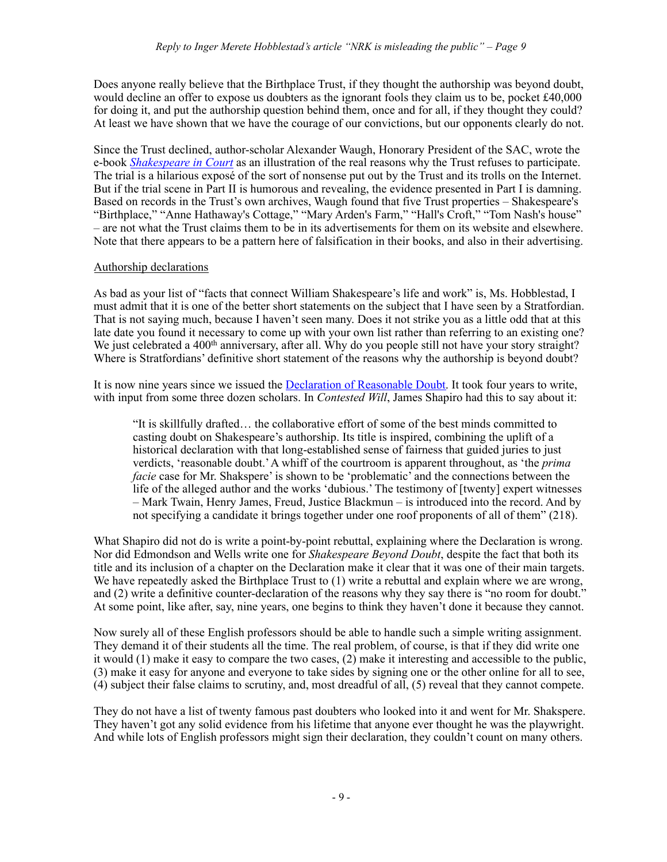Does anyone really believe that the Birthplace Trust, if they thought the authorship was beyond doubt, would decline an offer to expose us doubters as the ignorant fools they claim us to be, pocket £40,000 for doing it, and put the authorship question behind them, once and for all, if they thought they could? At least we have shown that we have the courage of our convictions, but our opponents clearly do not.

Since the Trust declined, author-scholar Alexander Waugh, Honorary President of the SAC, wrote the e-book *[Shakespeare in Court](http://www.amazon.com/Shakespeare-Court-Kindle-Single-Alexander-ebook/dp/B00O4V4V9W/ref=sr_1_1?s=books&ie=UTF8&qid=1455145066&sr=1-1&keywords=shakespeare+in+court)* as an illustration of the real reasons why the Trust refuses to participate. The trial is a hilarious exposé of the sort of nonsense put out by the Trust and its trolls on the Internet. But if the trial scene in Part II is humorous and revealing, the evidence presented in Part I is damning. Based on records in the Trust's own archives, Waugh found that five Trust properties – Shakespeare's "Birthplace," "Anne Hathaway's Cottage," "Mary Arden's Farm," "Hall's Croft," "Tom Nash's house" – are not what the Trust claims them to be in its advertisements for them on its website and elsewhere. Note that there appears to be a pattern here of falsification in their books, and also in their advertising.

## Authorship declarations

As bad as your list of "facts that connect William Shakespeare's life and work" is, Ms. Hobblestad, I must admit that it is one of the better short statements on the subject that I have seen by a Stratfordian. That is not saying much, because I haven't seen many. Does it not strike you as a little odd that at this late date you found it necessary to come up with your own list rather than referring to an existing one? We just celebrated a 400<sup>th</sup> anniversary, after all. Why do you people still not have your story straight? Where is Stratfordians' definitive short statement of the reasons why the authorship is beyond doubt?

It is now nine years since we issued the [Declaration of Reasonable Doubt.](https://doubtaboutwill.org/declaration) It took four years to write, with input from some three dozen scholars. In *Contested Will*, James Shapiro had this to say about it:

"It is skillfully drafted… the collaborative effort of some of the best minds committed to casting doubt on Shakespeare's authorship. Its title is inspired, combining the uplift of a historical declaration with that long-established sense of fairness that guided juries to just verdicts, 'reasonable doubt.' A whiff of the courtroom is apparent throughout, as 'the *prima facie* case for Mr. Shakspere' is shown to be 'problematic' and the connections between the life of the alleged author and the works 'dubious.' The testimony of [twenty] expert witnesses – Mark Twain, Henry James, Freud, Justice Blackmun – is introduced into the record. And by not specifying a candidate it brings together under one roof proponents of all of them" (218).

What Shapiro did not do is write a point-by-point rebuttal, explaining where the Declaration is wrong. Nor did Edmondson and Wells write one for *Shakespeare Beyond Doubt*, despite the fact that both its title and its inclusion of a chapter on the Declaration make it clear that it was one of their main targets. We have repeatedly asked the Birthplace Trust to (1) write a rebuttal and explain where we are wrong, and (2) write a definitive counter-declaration of the reasons why they say there is "no room for doubt." At some point, like after, say, nine years, one begins to think they haven't done it because they cannot.

Now surely all of these English professors should be able to handle such a simple writing assignment. They demand it of their students all the time. The real problem, of course, is that if they did write one it would (1) make it easy to compare the two cases, (2) make it interesting and accessible to the public, (3) make it easy for anyone and everyone to take sides by signing one or the other online for all to see, (4) subject their false claims to scrutiny, and, most dreadful of all, (5) reveal that they cannot compete.

They do not have a list of twenty famous past doubters who looked into it and went for Mr. Shakspere. They haven't got any solid evidence from his lifetime that anyone ever thought he was the playwright. And while lots of English professors might sign their declaration, they couldn't count on many others.